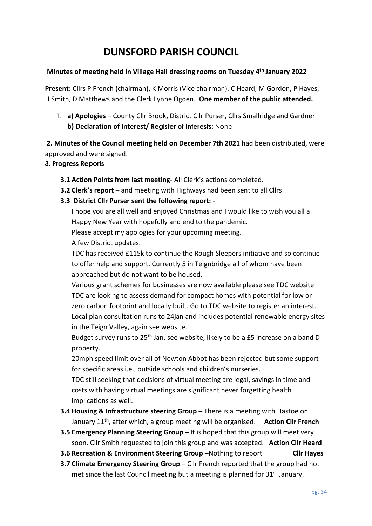# **DUNSFORD PARISH COUNCIL**

## **Minutes of meeting held in Village Hall dressing rooms on Tuesday 4 th January 2022**

**Present:** Cllrs P French (chairman), K Morris (Vice chairman), C Heard, M Gordon, P Hayes, H Smith, D Matthews and the Clerk Lynne Ogden. **One member of the public attended.**

1. **a) Apologies –** County Cllr Brook**,** District Cllr Purser, Cllrs Smallridge and Gardner **b) Declaration of Interest/ Register of Interests**: None

**2. Minutes of the Council meeting held on December 7th 2021** had been distributed, were approved and were signed.

## **3. Progress Reports**

- **3.1 Action Points from last meeting** All Clerk's actions completed.
- **3.2 Clerk's report** and meeting with Highways had been sent to all Cllrs.
- **3.3 District Cllr Purser sent the following report:** -

I hope you are all well and enjoyed Christmas and I would like to wish you all a Happy New Year with hopefully and end to the pandemic.

Please accept my apologies for your upcoming meeting.

A few District updates.

TDC has received £115k to continue the Rough Sleepers initiative and so continue to offer help and support. Currently 5 in Teignbridge all of whom have been approached but do not want to be housed.

Various grant schemes for businesses are now available please see TDC website TDC are looking to assess demand for compact homes with potential for low or zero carbon footprint and locally built. Go to TDC website to register an interest. Local plan consultation runs to 24jan and includes potential renewable energy sites in the Teign Valley, again see website.

Budget survey runs to 25<sup>th</sup> Jan, see website, likely to be a £5 increase on a band D property.

20mph speed limit over all of Newton Abbot has been rejected but some support for specific areas i.e., outside schools and children's nurseries.

TDC still seeking that decisions of virtual meeting are legal, savings in time and costs with having virtual meetings are significant never forgetting health implications as well.

- **3.4 Housing & Infrastructure steering Group –** There is a meeting with Hastoe on January 11th, after which, a group meeting will be organised. **Action Cllr French**
- **3.5 Emergency Planning Steering Group –** It is hoped that this group will meet very soon. Cllr Smith requested to join this group and was accepted. **Action Cllr Heard**
- **3.6 Recreation & Environment Steering Group –**Nothing to report **Cllr Hayes**
- **3.7 Climate Emergency Steering Group Cllr French reported that the group had not** met since the last Council meeting but a meeting is planned for  $31<sup>st</sup>$  January.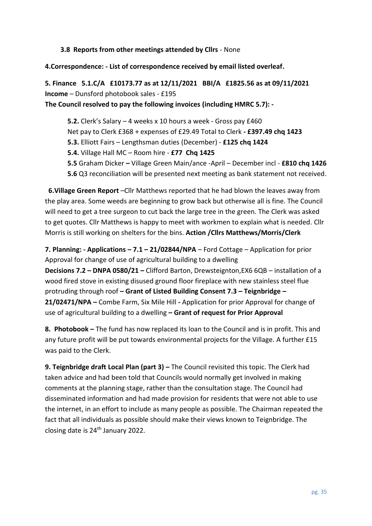### **3.8 Reports from other meetings attended by Cllrs** - None

**4.Correspondence: - List of correspondence received by email listed overleaf.** 

**5. Finance 5.1.C/A £10173.77 as at 12/11/2021 BBI/A £1825.56 as at 09/11/2021 Income** – Dunsford photobook sales - £195

**The Council resolved to pay the following invoices (including HMRC 5.7): -**

**5.2.** Clerk's Salary – 4 weeks x 10 hours a week - Gross pay £460 Net pay to Clerk £368 + expenses of £29.49 Total to Clerk **- £397.49 chq 1423 5.3.** Elliott Fairs – Lengthsman duties (December) - **£125 chq 1424 5.4.** Village Hall MC – Room hire - **£77 Chq 1425 5.5** Graham Dicker **–** Village Green Main/ance -April – December incl - **£810 chq 1426 5.6** Q3 reconciliation will be presented next meeting as bank statement not received.

**6.Village Green Report** –Cllr Matthews reported that he had blown the leaves away from the play area. Some weeds are beginning to grow back but otherwise all is fine. The Council will need to get a tree surgeon to cut back the large tree in the green. The Clerk was asked to get quotes. Cllr Matthews is happy to meet with workmen to explain what is needed. Cllr Morris is still working on shelters for the bins. **Action /Cllrs Matthews/Morris/Clerk**

**7. Planning: - Applications – 7.1 – 21/02844/NPA** – Ford Cottage – Application for prior Approval for change of use of agricultural building to a dwelling **Decisions 7.2 – DNPA 0580/21 –** Clifford Barton, Drewsteignton,EX6 6QB – installation of a wood fired stove in existing disused ground floor fireplace with new stainless steel flue protruding through roof **– Grant of Listed Building Consent 7.3 – Teignbridge – 21/02471/NPA –** Combe Farm, Six Mile Hill **-** Application for prior Approval for change of use of agricultural building to a dwelling **– Grant of request for Prior Approval**

**8. Photobook –** The fund has now replaced its loan to the Council and is in profit. This and any future profit will be put towards environmental projects for the Village. A further £15 was paid to the Clerk.

**9. Teignbridge draft Local Plan (part 3) – The Council revisited this topic. The Clerk had** taken advice and had been told that Councils would normally get involved in making comments at the planning stage, rather than the consultation stage. The Council had disseminated information and had made provision for residents that were not able to use the internet, in an effort to include as many people as possible. The Chairman repeated the fact that all individuals as possible should make their views known to Teignbridge. The closing date is 24<sup>th</sup> January 2022.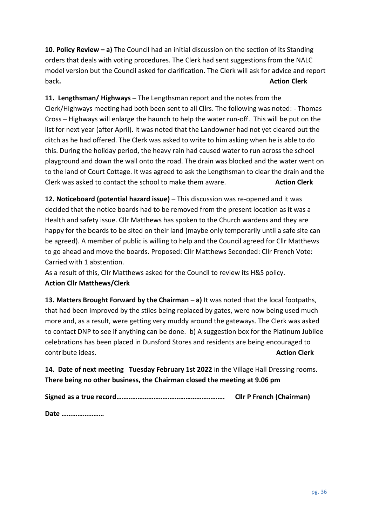**10. Policy Review – a)** The Council had an initial discussion on the section of its Standing orders that deals with voting procedures. The Clerk had sent suggestions from the NALC model version but the Council asked for clarification. The Clerk will ask for advice and report back**. Action Clerk**

**11. Lengthsman/ Highways –** The Lengthsman report and the notes from the Clerk/Highways meeting had both been sent to all Cllrs. The following was noted: - Thomas Cross – Highways will enlarge the haunch to help the water run-off. This will be put on the list for next year (after April). It was noted that the Landowner had not yet cleared out the ditch as he had offered. The Clerk was asked to write to him asking when he is able to do this. During the holiday period, the heavy rain had caused water to run across the school playground and down the wall onto the road. The drain was blocked and the water went on to the land of Court Cottage. It was agreed to ask the Lengthsman to clear the drain and the Clerk was asked to contact the school to make them aware. **Action Clerk**

**12. Noticeboard (potential hazard issue)** – This discussion was re-opened and it was decided that the notice boards had to be removed from the present location as it was a Health and safety issue. Cllr Matthews has spoken to the Church wardens and they are happy for the boards to be sited on their land (maybe only temporarily until a safe site can be agreed). A member of public is willing to help and the Council agreed for Cllr Matthews to go ahead and move the boards. Proposed: Cllr Matthews Seconded: Cllr French Vote: Carried with 1 abstention.

As a result of this, Cllr Matthews asked for the Council to review its H&S policy. **Action Cllr Matthews/Clerk**

**13. Matters Brought Forward by the Chairman – a)** It was noted that the local footpaths, that had been improved by the stiles being replaced by gates, were now being used much more and, as a result, were getting very muddy around the gateways. The Clerk was asked to contact DNP to see if anything can be done. b) A suggestion box for the Platinum Jubilee celebrations has been placed in Dunsford Stores and residents are being encouraged to contribute ideas. **Action Clerk**

**14. Date of next meeting Tuesday February 1st 2022** in the Village Hall Dressing rooms. **There being no other business, the Chairman closed the meeting at 9.06 pm**

|  | <b>Cllr P French (Chairman)</b> |
|--|---------------------------------|
|--|---------------------------------|

**Date ……………………**